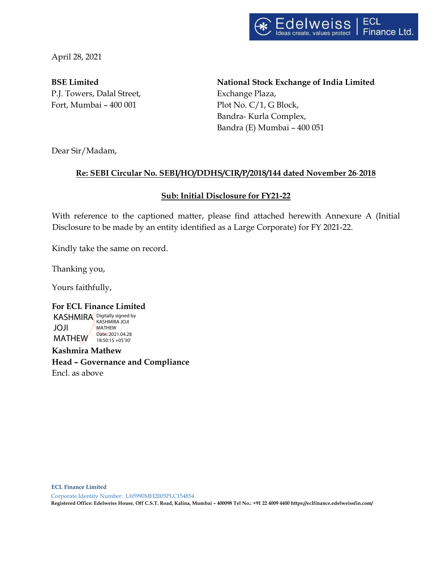

April 28, 2021

P.J. Towers, Dalal Street, Exchange Plaza, Fort, Mumbai – 400 001 Plot No. C/1, G Block,

**BSE Limited National Stock Exchange of India Limited** Bandra- Kurla Complex, Bandra (E) Mumbai – 400 051

Dear Sir/Madam,

## **Re: SEBI Circular No. SEBI/HO/DDHS/CIR/P/2018/144 dated November 26, 2018**

## **Sub: Initial Disclosure for FY21-22**

With reference to the captioned matter, please find attached herewith Annexure A (Initial Disclosure to be made by an entity identified as a Large Corporate) for FY 2021-22.

Kindly take the same on record.

Thanking you,

Yours faithfully,

**For ECL Finance Limited** KASHMIRA Digitally signed by JOJI MATHEW Date: 2021.04.28 KASHMIRA JOJI MATHEW 18:50:15 +05'30'

**Kashmira Mathew Head – Governance and Compliance**  Encl. as above

**ECL Finance Limited** 

Corporate Identity Number: U65990MH2005PLC154854

**Registered Office: Edelweiss House, Off C.S.T. Road, Kalina, Mumbai – 400098 Tel No.: +91 22 4009 4400 https://eclfinance.edelweissfin.com/**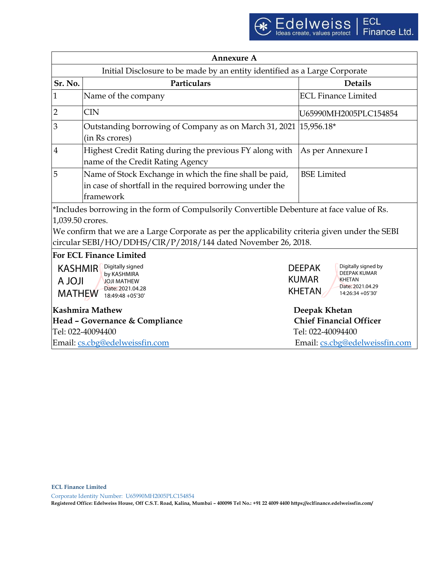| <b>Annexure A</b>                                                                                                                                                |                                                                                                                                  |                                                                                                                                                |  |  |
|------------------------------------------------------------------------------------------------------------------------------------------------------------------|----------------------------------------------------------------------------------------------------------------------------------|------------------------------------------------------------------------------------------------------------------------------------------------|--|--|
| Initial Disclosure to be made by an entity identified as a Large Corporate                                                                                       |                                                                                                                                  |                                                                                                                                                |  |  |
| Sr. No.                                                                                                                                                          | Particulars                                                                                                                      | <b>Details</b>                                                                                                                                 |  |  |
| $\mathbf{1}$                                                                                                                                                     | Name of the company                                                                                                              | <b>ECL Finance Limited</b>                                                                                                                     |  |  |
| $\overline{2}$                                                                                                                                                   | <b>CIN</b>                                                                                                                       | U65990MH2005PLC154854                                                                                                                          |  |  |
| 3                                                                                                                                                                | Outstanding borrowing of Company as on March 31, 2021   15,956.18*<br>(in Rs crores)                                             |                                                                                                                                                |  |  |
| $\overline{4}$                                                                                                                                                   | Highest Credit Rating during the previous FY along with<br>name of the Credit Rating Agency                                      | As per Annexure I                                                                                                                              |  |  |
| 5                                                                                                                                                                | Name of Stock Exchange in which the fine shall be paid,<br>in case of shortfall in the required borrowing under the<br>framework | <b>BSE</b> Limited                                                                                                                             |  |  |
| *Includes borrowing in the form of Compulsorily Convertible Debenture at face value of Rs.                                                                       |                                                                                                                                  |                                                                                                                                                |  |  |
| 1,039.50 crores.                                                                                                                                                 |                                                                                                                                  |                                                                                                                                                |  |  |
| We confirm that we are a Large Corporate as per the applicability criteria given under the SEBI<br>circular SEBI/HO/DDHS/ClR/P/2018/144 dated November 26, 2018. |                                                                                                                                  |                                                                                                                                                |  |  |
| <b>For ECL Finance Limited</b>                                                                                                                                   |                                                                                                                                  |                                                                                                                                                |  |  |
| Digitally signed<br><b>KASHMIR</b><br>by KASHMIRA<br><b>ILOL A</b><br><b>JOJI MATHEW</b><br>Date: 2021.04.28<br><b>MATHEW</b><br>18:49:48 +05'30'                |                                                                                                                                  | Digitally signed by<br><b>DEEPAK</b><br>DEEPAK KUMAR<br><b>KUMAR</b><br><b>KHETAN</b><br>Date: 2021.04.29<br><b>KHETAN</b><br>14:26:34 +05'30' |  |  |
| Kashmira Mathew                                                                                                                                                  |                                                                                                                                  | Deepak Khetan                                                                                                                                  |  |  |
| Head - Governance & Compliance                                                                                                                                   |                                                                                                                                  | <b>Chief Financial Officer</b>                                                                                                                 |  |  |
| Tel: 022-40094400                                                                                                                                                |                                                                                                                                  | Tel: 022-40094400                                                                                                                              |  |  |
| Email: cs.cbg@edelweissfin.com                                                                                                                                   |                                                                                                                                  | Email: cs.cbg@edelweissfin.com                                                                                                                 |  |  |

**ECL Finance Limited** 

Corporate Identity Number: U65990MH2005PLC154854

**Registered Office: Edelweiss House, Off C.S.T. Road, Kalina, Mumbai – 400098 Tel No.: +91 22 4009 4400 https://eclfinance.edelweissfin.com/**